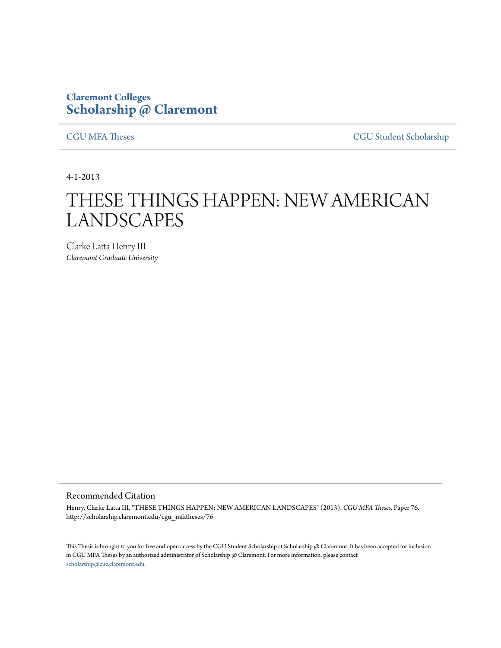## **Claremont Colleges [Scholarship @ Claremont](http://scholarship.claremont.edu)**

[CGU MFA Theses](http://scholarship.claremont.edu/cgu_mfatheses) [CGU Student Scholarship](http://scholarship.claremont.edu/cgu_student)

4-1-2013

## THESE THINGS HAPPEN: NEW AMERICAN LANDSCAPES

Clarke Latta Henry III *Claremont Graduate University*

## Recommended Citation

Henry, Clarke Latta III, "THESE THINGS HAPPEN: NEW AMERICAN LANDSCAPES" (2013). *CGU MFA Theses.* Paper 76. http://scholarship.claremont.edu/cgu\_mfatheses/76

This Thesis is brought to you for free and open access by the CGU Student Scholarship at Scholarship @ Claremont. It has been accepted for inclusion in CGU MFA Theses by an authorized administrator of Scholarship @ Claremont. For more information, please contact [scholarship@cuc.claremont.edu.](mailto:scholarship@cuc.claremont.edu)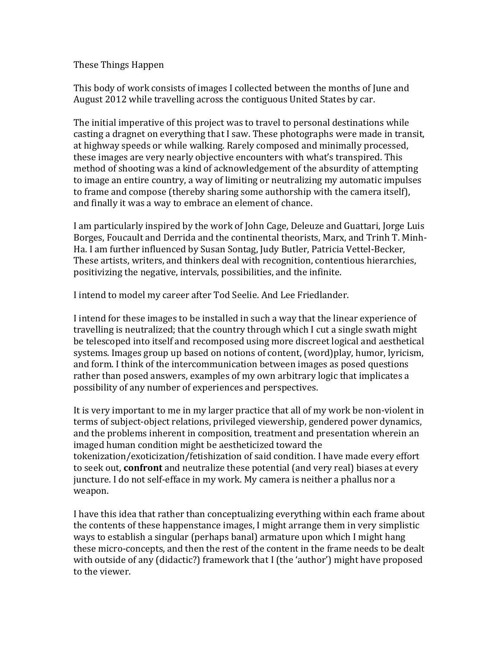## These Things Happen

This body of work consists of images I collected between the months of June and August 2012 while travelling across the contiguous United States by car.

The initial imperative of this project was to travel to personal destinations while casting a dragnet on everything that I saw. These photographs were made in transit, at highway speeds or while walking. Rarely composed and minimally processed, these images are very nearly objective encounters with what's transpired. This method of shooting was a kind of acknowledgement of the absurdity of attempting to image an entire country, a way of limiting or neutralizing my automatic impulses to frame and compose (thereby sharing some authorship with the camera itself), and finally it was a way to embrace an element of chance.

I am particularly inspired by the work of John Cage, Deleuze and Guattari, Jorge Luis Borges, Foucault and Derrida and the continental theorists, Marx, and Trinh T. Minh-Ha. I am further influenced by Susan Sontag, Judy Butler, Patricia Vettel-Becker, These artists, writers, and thinkers deal with recognition, contentious hierarchies, positivizing the negative, intervals, possibilities, and the infinite.

I intend to model my career after Tod Seelie. And Lee Friedlander.

I intend for these images to be installed in such a way that the linear experience of travelling is neutralized; that the country through which I cut a single swath might be telescoped into itself and recomposed using more discreet logical and aesthetical systems. Images group up based on notions of content, (word)play, humor, lyricism, and form. I think of the intercommunication between images as posed questions rather than posed answers, examples of my own arbitrary logic that implicates a possibility of any number of experiences and perspectives.

It is very important to me in my larger practice that all of my work be non-violent in terms of subject-object relations, privileged viewership, gendered power dynamics, and the problems inherent in composition, treatment and presentation wherein an imaged human condition might be aestheticized toward the tokenization/exoticization/fetishization of said condition. I have made every effort to seek out, **confront** and neutralize these potential (and very real) biases at every juncture. I do not self-efface in my work. My camera is neither a phallus nor a weapon.

I have this idea that rather than conceptualizing everything within each frame about the contents of these happenstance images, I might arrange them in very simplistic ways to establish a singular (perhaps banal) armature upon which I might hang these micro-concepts, and then the rest of the content in the frame needs to be dealt with outside of any (didactic?) framework that I (the 'author') might have proposed to the viewer.